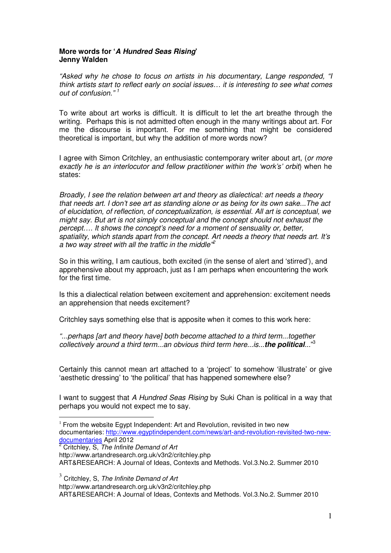## **More words for 'A Hundred Seas Rising' Jenny Walden**

"Asked why he chose to focus on artists in his documentary, Lange responded, "I think artists start to reflect early on social issues… it is interesting to see what comes out of confusion." <sup>1</sup>

To write about art works is difficult. It is difficult to let the art breathe through the writing. Perhaps this is not admitted often enough in the many writings about art. For me the discourse is important. For me something that might be considered theoretical is important, but why the addition of more words now?

I agree with Simon Critchley, an enthusiastic contemporary writer about art, (or more exactly he is an interlocutor and fellow practitioner within the 'work's' orbit) when he states:

Broadly, I see the relation between art and theory as dialectical: art needs a theory that needs art. I don't see art as standing alone or as being for its own sake...The act of elucidation, of reflection, of conceptualization, is essential. All art is conceptual, we might say. But art is not simply conceptual and the concept should not exhaust the percept…. It shows the concept's need for a moment of sensuality or, better, spatiality, which stands apart from the concept. Art needs a theory that needs art. It's a two way street with all the traffic in the middle<sup>®</sup>

So in this writing, I am cautious, both excited (in the sense of alert and 'stirred'), and apprehensive about my approach, just as I am perhaps when encountering the work for the first time.

Is this a dialectical relation between excitement and apprehension: excitement needs an apprehension that needs excitement?

Critchley says something else that is apposite when it comes to this work here:

"...perhaps [art and theory have] both become attached to a third term...together collectively around a third term...an obvious third term here...is...**the political**..." 3

Certainly this cannot mean art attached to a 'project' to somehow 'illustrate' or give 'aesthetic dressing' to 'the political' that has happened somewhere else?

I want to suggest that A Hundred Seas Rising by Suki Chan is political in a way that perhaps you would not expect me to say.

 $1$  From the website Egypt Independent: Art and Revolution, revisited in two new documentaries: http://www.egyptindependent.com/news/art-and-revolution-revisited-two-new-<u>documentaries</u> April 2012<br><sup>2</sup> Critchley, S, *The Infinite Demand of Art* 

http://www.artandresearch.org.uk/v3n2/critchley.php ART&RESEARCH: A Journal of Ideas, Contexts and Methods. Vol.3.No.2. Summer 2010

 $3$  Critchley, S, The Infinite Demand of Art

l.

http://www.artandresearch.org.uk/v3n2/critchley.php

ART&RESEARCH: A Journal of Ideas, Contexts and Methods. Vol.3.No.2. Summer 2010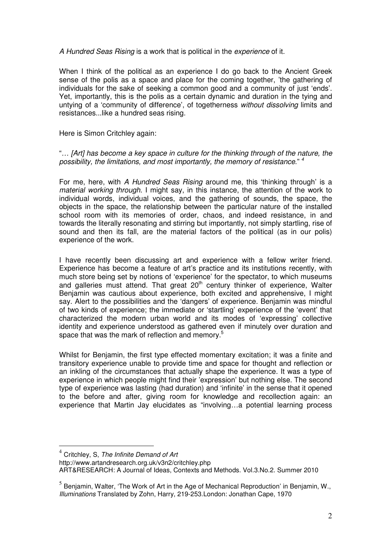A Hundred Seas Rising is a work that is political in the experience of it.

When I think of the political as an experience I do go back to the Ancient Greek sense of the polis as a space and place for the coming together, 'the gathering of individuals for the sake of seeking a common good and a community of just 'ends'. Yet, importantly, this is the polis as a certain dynamic and duration in the tying and untying of a 'community of difference', of togetherness without dissolving limits and resistances...like a hundred seas rising.

Here is Simon Critchley again:

"… [Art] has become a key space in culture for the thinking through of the nature, the possibility, the limitations, and most importantly, the memory of resistance."<sup>4</sup>

For me, here, with A Hundred Seas Rising around me, this 'thinking through' is a material working through. I might say, in this instance, the attention of the work to individual words, individual voices, and the gathering of sounds, the space, the objects in the space, the relationship between the particular nature of the installed school room with its memories of order, chaos, and indeed resistance, in and towards the literally resonating and stirring but importantly, not simply startling, rise of sound and then its fall, are the material factors of the political (as in our polis) experience of the work.

I have recently been discussing art and experience with a fellow writer friend. Experience has become a feature of art's practice and its institutions recently, with much store being set by notions of 'experience' for the spectator, to which museums and galleries must attend. That great  $20<sup>th</sup>$  century thinker of experience, Walter Benjamin was cautious about experience, both excited and apprehensive, I might say. Alert to the possibilities and the 'dangers' of experience. Benjamin was mindful of two kinds of experience; the immediate or 'startling' experience of the 'event' that characterized the modern urban world and its modes of 'expressing' collective identity and experience understood as gathered even if minutely over duration and space that was the mark of reflection and memory.<sup>5</sup>

Whilst for Benjamin, the first type effected momentary excitation; it was a finite and transitory experience unable to provide time and space for thought and reflection or an inkling of the circumstances that actually shape the experience. It was a type of experience in which people might find their 'expression' but nothing else. The second type of experience was lasting (had duration) and 'infinite' in the sense that it opened to the before and after, giving room for knowledge and recollection again: an experience that Martin Jay elucidates as "involving…a potential learning process

l.

http://www.artandresearch.org.uk/v3n2/critchley.php

ART&RESEARCH: A Journal of Ideas, Contexts and Methods. Vol.3.No.2. Summer 2010

 $<sup>4</sup>$  Critchley, S, The Infinite Demand of Art</sup>

 $^5$  Benjamin, Walter, 'The Work of Art in the Age of Mechanical Reproduction' in Benjamin, W., Illuminations Translated by Zohn, Harry, 219-253.London: Jonathan Cape, 1970